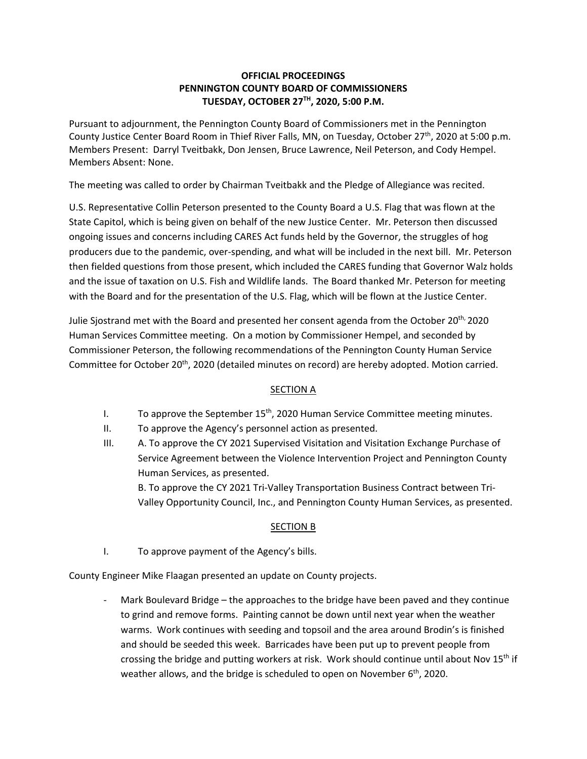### **OFFICIAL PROCEEDINGS PENNINGTON COUNTY BOARD OF COMMISSIONERS TUESDAY, OCTOBER 27TH, 2020, 5:00 P.M.**

Pursuant to adjournment, the Pennington County Board of Commissioners met in the Pennington County Justice Center Board Room in Thief River Falls, MN, on Tuesday, October 27<sup>th</sup>, 2020 at 5:00 p.m. Members Present: Darryl Tveitbakk, Don Jensen, Bruce Lawrence, Neil Peterson, and Cody Hempel. Members Absent: None.

The meeting was called to order by Chairman Tveitbakk and the Pledge of Allegiance was recited.

U.S. Representative Collin Peterson presented to the County Board a U.S. Flag that was flown at the State Capitol, which is being given on behalf of the new Justice Center. Mr. Peterson then discussed ongoing issues and concerns including CARES Act funds held by the Governor, the struggles of hog producers due to the pandemic, over‐spending, and what will be included in the next bill. Mr. Peterson then fielded questions from those present, which included the CARES funding that Governor Walz holds and the issue of taxation on U.S. Fish and Wildlife lands. The Board thanked Mr. Peterson for meeting with the Board and for the presentation of the U.S. Flag, which will be flown at the Justice Center.

Julie Sjostrand met with the Board and presented her consent agenda from the October 20<sup>th,</sup> 2020 Human Services Committee meeting. On a motion by Commissioner Hempel, and seconded by Commissioner Peterson, the following recommendations of the Pennington County Human Service Committee for October 20<sup>th</sup>, 2020 (detailed minutes on record) are hereby adopted. Motion carried.

# SECTION A

- I. To approve the September  $15<sup>th</sup>$ , 2020 Human Service Committee meeting minutes.
- II. To approve the Agency's personnel action as presented.
- III. A. To approve the CY 2021 Supervised Visitation and Visitation Exchange Purchase of Service Agreement between the Violence Intervention Project and Pennington County Human Services, as presented. B. To approve the CY 2021 Tri‐Valley Transportation Business Contract between Tri‐

Valley Opportunity Council, Inc., and Pennington County Human Services, as presented.

# SECTION B

I. To approve payment of the Agency's bills.

County Engineer Mike Flaagan presented an update on County projects.

Mark Boulevard Bridge – the approaches to the bridge have been paved and they continue to grind and remove forms. Painting cannot be down until next year when the weather warms. Work continues with seeding and topsoil and the area around Brodin's is finished and should be seeded this week. Barricades have been put up to prevent people from crossing the bridge and putting workers at risk. Work should continue until about Nov 15<sup>th</sup> if weather allows, and the bridge is scheduled to open on November  $6<sup>th</sup>$ , 2020.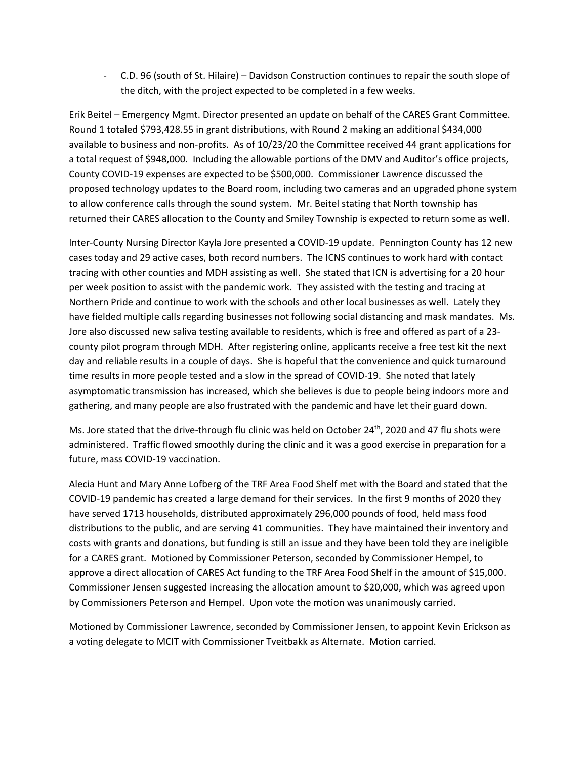‐ C.D. 96 (south of St. Hilaire) – Davidson Construction continues to repair the south slope of the ditch, with the project expected to be completed in a few weeks.

Erik Beitel – Emergency Mgmt. Director presented an update on behalf of the CARES Grant Committee. Round 1 totaled \$793,428.55 in grant distributions, with Round 2 making an additional \$434,000 available to business and non‐profits. As of 10/23/20 the Committee received 44 grant applications for a total request of \$948,000. Including the allowable portions of the DMV and Auditor's office projects, County COVID‐19 expenses are expected to be \$500,000. Commissioner Lawrence discussed the proposed technology updates to the Board room, including two cameras and an upgraded phone system to allow conference calls through the sound system. Mr. Beitel stating that North township has returned their CARES allocation to the County and Smiley Township is expected to return some as well.

Inter-County Nursing Director Kayla Jore presented a COVID-19 update. Pennington County has 12 new cases today and 29 active cases, both record numbers. The ICNS continues to work hard with contact tracing with other counties and MDH assisting as well. She stated that ICN is advertising for a 20 hour per week position to assist with the pandemic work. They assisted with the testing and tracing at Northern Pride and continue to work with the schools and other local businesses as well. Lately they have fielded multiple calls regarding businesses not following social distancing and mask mandates. Ms. Jore also discussed new saliva testing available to residents, which is free and offered as part of a 23‐ county pilot program through MDH. After registering online, applicants receive a free test kit the next day and reliable results in a couple of days. She is hopeful that the convenience and quick turnaround time results in more people tested and a slow in the spread of COVID‐19. She noted that lately asymptomatic transmission has increased, which she believes is due to people being indoors more and gathering, and many people are also frustrated with the pandemic and have let their guard down.

Ms. Jore stated that the drive-through flu clinic was held on October 24<sup>th</sup>, 2020 and 47 flu shots were administered. Traffic flowed smoothly during the clinic and it was a good exercise in preparation for a future, mass COVID‐19 vaccination.

Alecia Hunt and Mary Anne Lofberg of the TRF Area Food Shelf met with the Board and stated that the COVID‐19 pandemic has created a large demand for their services. In the first 9 months of 2020 they have served 1713 households, distributed approximately 296,000 pounds of food, held mass food distributions to the public, and are serving 41 communities. They have maintained their inventory and costs with grants and donations, but funding is still an issue and they have been told they are ineligible for a CARES grant. Motioned by Commissioner Peterson, seconded by Commissioner Hempel, to approve a direct allocation of CARES Act funding to the TRF Area Food Shelf in the amount of \$15,000. Commissioner Jensen suggested increasing the allocation amount to \$20,000, which was agreed upon by Commissioners Peterson and Hempel. Upon vote the motion was unanimously carried.

Motioned by Commissioner Lawrence, seconded by Commissioner Jensen, to appoint Kevin Erickson as a voting delegate to MCIT with Commissioner Tveitbakk as Alternate. Motion carried.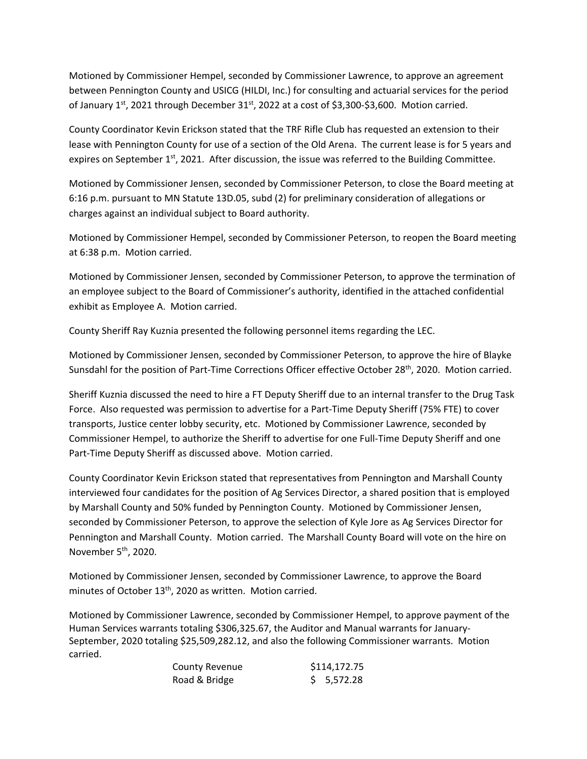Motioned by Commissioner Hempel, seconded by Commissioner Lawrence, to approve an agreement between Pennington County and USICG (HILDI, Inc.) for consulting and actuarial services for the period of January 1<sup>st</sup>, 2021 through December 31<sup>st</sup>, 2022 at a cost of \$3,300-\$3,600. Motion carried.

County Coordinator Kevin Erickson stated that the TRF Rifle Club has requested an extension to their lease with Pennington County for use of a section of the Old Arena. The current lease is for 5 years and expires on September  $1<sup>st</sup>$ , 2021. After discussion, the issue was referred to the Building Committee.

Motioned by Commissioner Jensen, seconded by Commissioner Peterson, to close the Board meeting at 6:16 p.m. pursuant to MN Statute 13D.05, subd (2) for preliminary consideration of allegations or charges against an individual subject to Board authority.

Motioned by Commissioner Hempel, seconded by Commissioner Peterson, to reopen the Board meeting at 6:38 p.m. Motion carried.

Motioned by Commissioner Jensen, seconded by Commissioner Peterson, to approve the termination of an employee subject to the Board of Commissioner's authority, identified in the attached confidential exhibit as Employee A. Motion carried.

County Sheriff Ray Kuznia presented the following personnel items regarding the LEC.

Motioned by Commissioner Jensen, seconded by Commissioner Peterson, to approve the hire of Blayke Sunsdahl for the position of Part-Time Corrections Officer effective October 28<sup>th</sup>, 2020. Motion carried.

Sheriff Kuznia discussed the need to hire a FT Deputy Sheriff due to an internal transfer to the Drug Task Force. Also requested was permission to advertise for a Part‐Time Deputy Sheriff (75% FTE) to cover transports, Justice center lobby security, etc. Motioned by Commissioner Lawrence, seconded by Commissioner Hempel, to authorize the Sheriff to advertise for one Full‐Time Deputy Sheriff and one Part‐Time Deputy Sheriff as discussed above. Motion carried.

County Coordinator Kevin Erickson stated that representatives from Pennington and Marshall County interviewed four candidates for the position of Ag Services Director, a shared position that is employed by Marshall County and 50% funded by Pennington County. Motioned by Commissioner Jensen, seconded by Commissioner Peterson, to approve the selection of Kyle Jore as Ag Services Director for Pennington and Marshall County. Motion carried. The Marshall County Board will vote on the hire on November  $5<sup>th</sup>$ , 2020.

Motioned by Commissioner Jensen, seconded by Commissioner Lawrence, to approve the Board minutes of October 13<sup>th</sup>, 2020 as written. Motion carried.

Motioned by Commissioner Lawrence, seconded by Commissioner Hempel, to approve payment of the Human Services warrants totaling \$306,325.67, the Auditor and Manual warrants for January‐ September, 2020 totaling \$25,509,282.12, and also the following Commissioner warrants. Motion carried.

| County Revenue | \$114,172.75 |
|----------------|--------------|
| Road & Bridge  | \$5,572.28   |